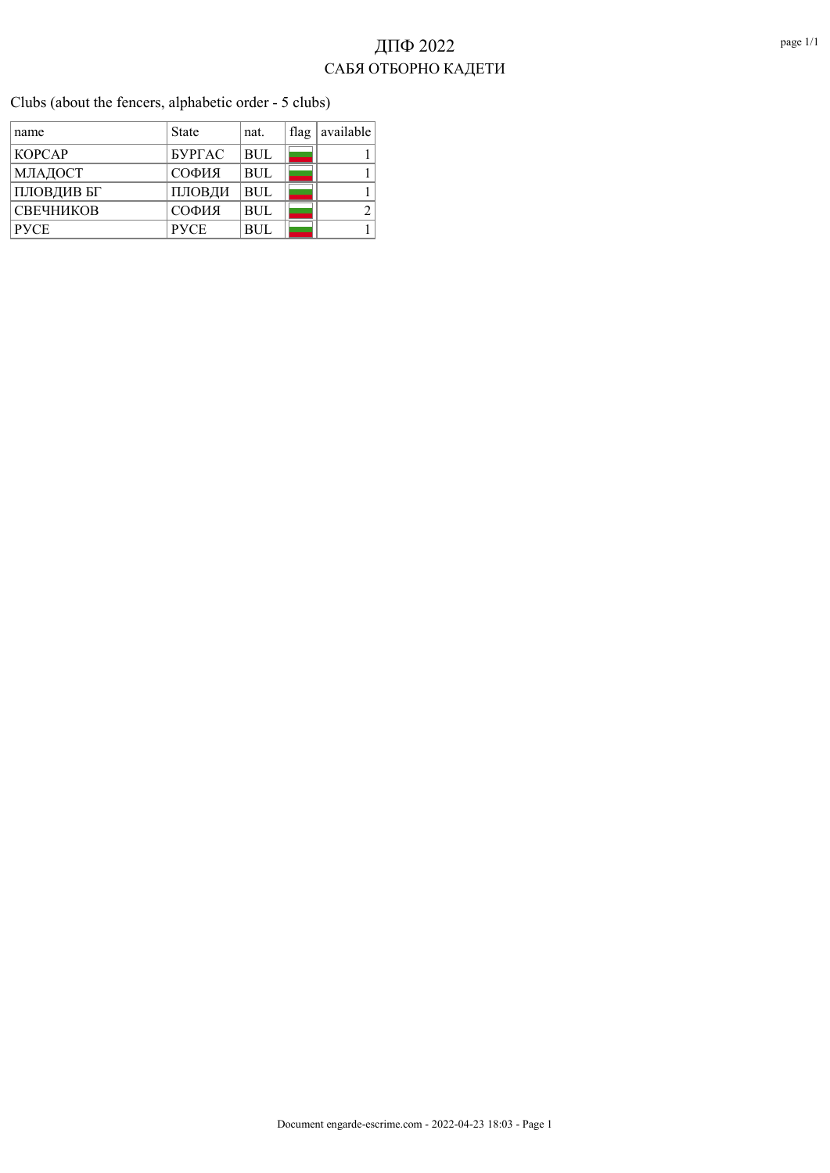Clubs (about the fencers, alphabetic order - 5 clubs)

| name             | <b>State</b>  | nat.       | flag | available |
|------------------|---------------|------------|------|-----------|
| <b>KOPCAP</b>    | <b>SYPTAC</b> | <b>BUL</b> |      |           |
| МЛАДОСТ          | СОФИЯ         | <b>BUL</b> |      |           |
| ПЛОВДИВ БГ       | ПЛОВДИ        | <b>BUL</b> |      |           |
| <b>СВЕЧНИКОВ</b> | СОФИЯ         | <b>BUL</b> |      |           |
| <b>PVCE</b>      | <b>PVCE</b>   | <b>BUL</b> |      |           |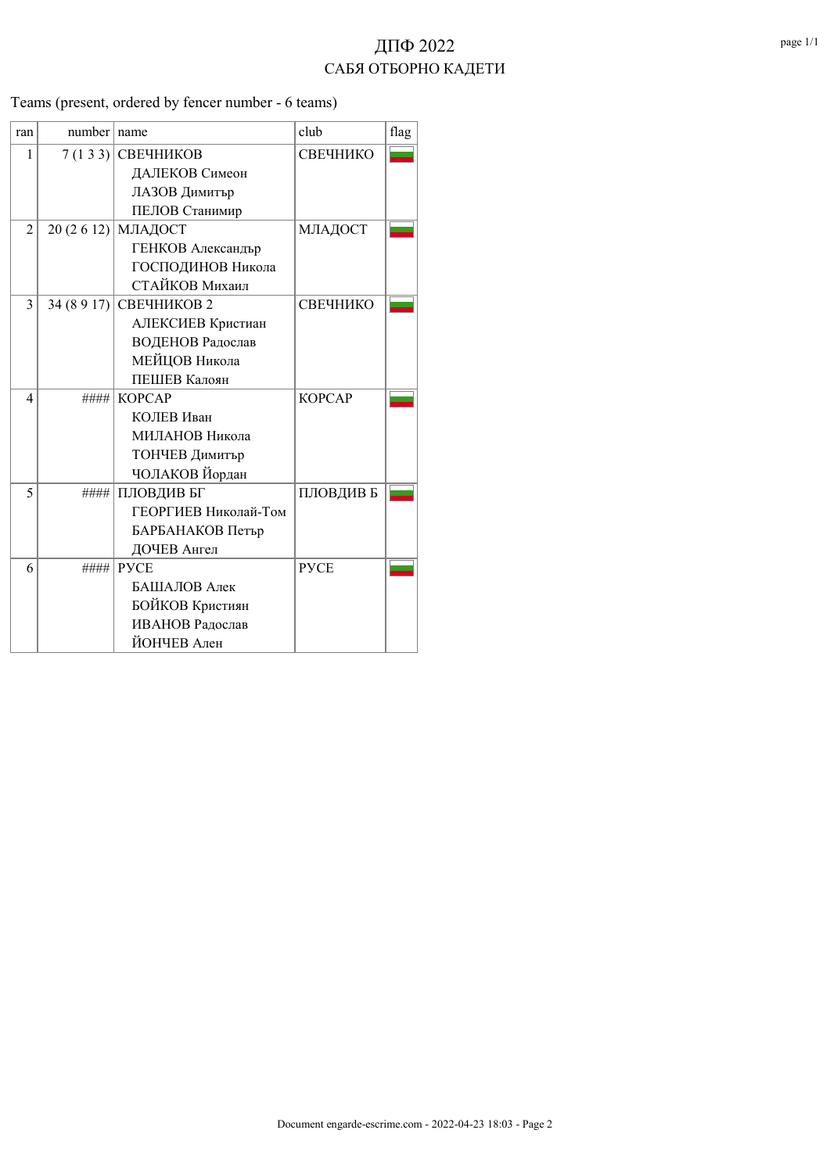ran number name club flag  $|1|$  7 (1 3 3) СВЕЧНИКОВ СВЕЧНИКО ДАЛЕКОВ Симеон ЛАЗОВ Димитър ПЕЛОВ Станимир 2 20 (2 6 12) МЛАДОСТ МЛАДОСТ ГЕНКОВ Александър ГОСПОДИНОВ Никола СТАЙКОВ Михаил  $3 \mid 34 (8917)$  СВЕЧНИКОВ 2 СВЕЧНИКО АЛЕКСИЕВ Кристиан ВОДЕНОВ Радослав МЕЙЦОВ Никола ПЕШЕВ Калоян 4 **#### KOPCAP KOPCAP**  КОЛЕВ Иван МИЛАНОВ Никола ТОНЧЕВ Димитър ЧОЛАКОВ Йордан 5 **#### ПЛОВДИВ БГ** ПЛОВДИВ Б ГЕОРГИЕВ Николай-Том БАРБАНАКОВ Петър ДОЧЕВ Ангел 6 #### РУСЕ РУСЕ БАШАЛОВ Алек БОЙКОВ Кристиян ИВАНОВ Радослав ЙОНЧЕВ Ален

Teams (present, ordered by fencer number - 6 teams)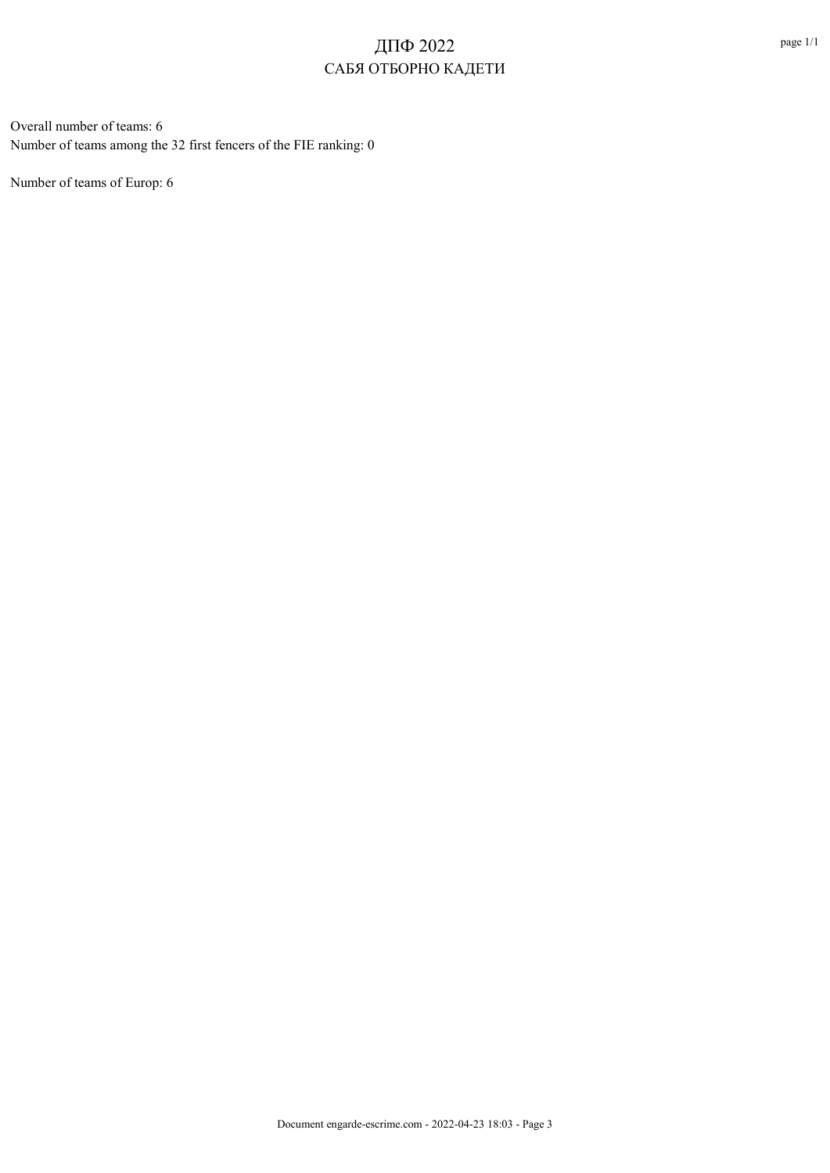Overall number of teams: 6 Number of teams among the 32 first fencers of the FIE ranking: 0

Number of teams of Europ: 6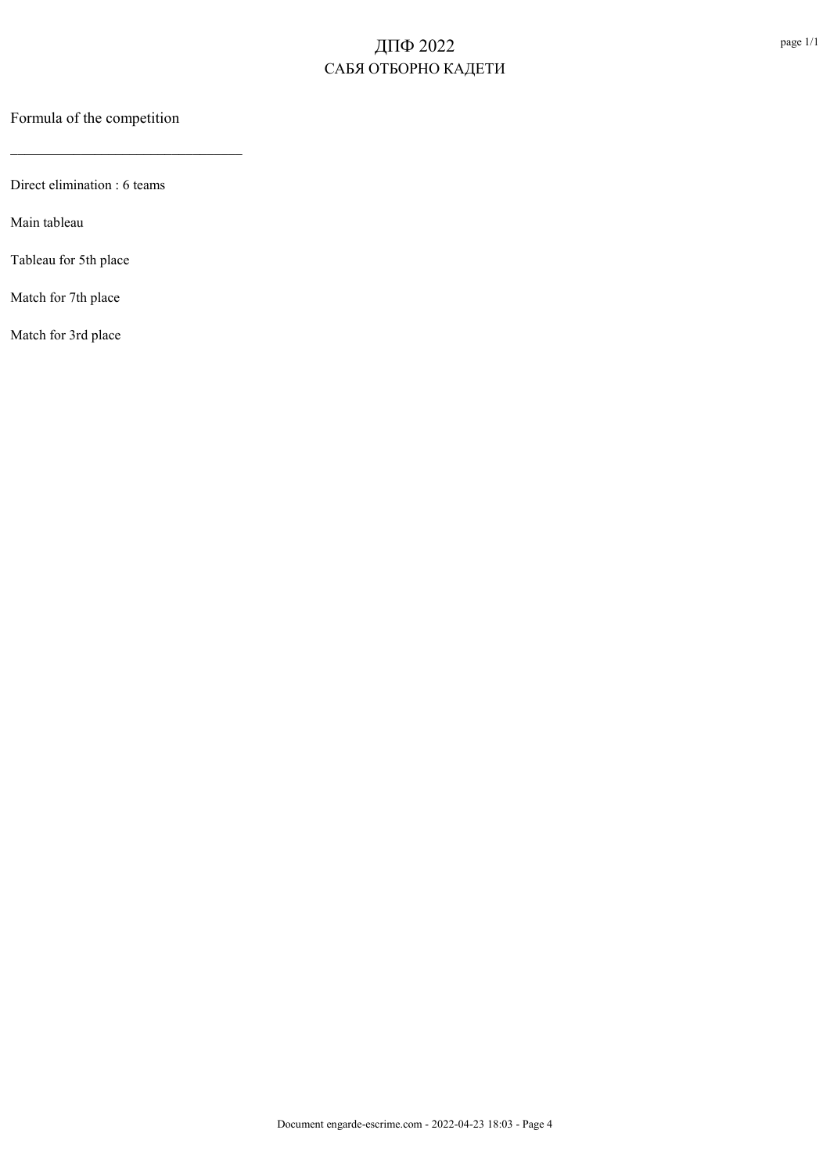Formula of the competition

\_\_\_\_\_\_\_\_\_\_\_\_\_\_\_\_\_\_\_\_\_\_\_\_\_\_\_\_\_\_\_\_\_

Direct elimination : 6 teams

Main tableau

Tableau for 5th place

Match for 7th place

Match for 3rd place